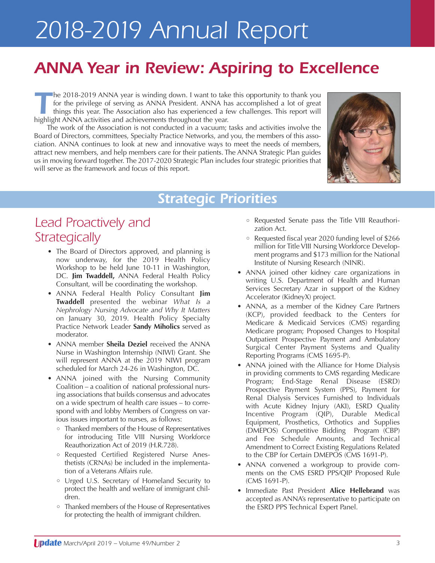## *ANNA Year in Review: Aspiring to Excellence*

**The 2018-2019 ANNA year is winding down. I want to take this opportunity to thank you for the privilege of serving as ANNA President. ANNA has accomplished a lot of great things this year. The Association also has experie** for the privilege of serving as ANNA President. ANNA has accomplished a lot of great things this year. The Association also has experienced a few challenges. This report will highlight ANNA activities and achievements throughout the year.

The work of the Association is not conducted in a vacuum; tasks and activities involve the Board of Directors, committees, Specialty Practice Networks, and you, the members of this association. ANNA continues to look at new and innovative ways to meet the needs of members, attract new members, and help members care for their patients. The ANNA Strategic Plan guides us in moving forward together. The 2017-2020 Strategic Plan includes four strategic priorities that will serve as the framework and focus of this report.



## *Strategic Priorities*

## *Lead Proactively and Strategically*

- The Board of Directors approved, and planning is now underway, for the 2019 Health Policy Workshop to be held June 10-11 in Washington, DC. **Jim Twaddell,** ANNA Federal Health Policy Consultant, will be coordinating the workshop.
- ANNA Federal Health Policy Consultant **Jim Twaddell** presented the webinar *What Is a Nephrology Nursing Advocate and Why It Matters* on January 30, 2019. Health Policy Specialty Practice Network Leader **Sandy Miholics** served as moderator.
- ANNA member **Sheila Deziel** received the ANNA Nurse in Washington Internship (NIWI) Grant. She will represent ANNA at the 2019 NIWI program scheduled for March 24-26 in Washington, DC.
- ANNA joined with the Nursing Community Coalition – a coalition of national professional nursing associations that builds consensus and advocates on a wide spectrum of health care issues – to correspond with and lobby Members of Congress on various issues important to nurses, as follows:
	- Thanked members of the House of Representatives for introducing Title VIII Nursing Workforce Reauthorization Act of 2019 (H.R.728).
	- <sup>o</sup> Requested Certified Registered Nurse Anesthetists (CRNAs) be included in the implementation of a Veterans Affairs rule.
	- Urged U.S. Secretary of Homeland Security to protect the health and welfare of immigrant children.
	- Thanked members of the House of Representatives for protecting the health of immigrant children.
- Requested Senate pass the Title VIII Reauthorization Act.
- Requested fiscal year 2020 funding level of \$266 million for Title VIII Nursing Workforce Development programs and \$173 million for the National Institute of Nursing Research (NINR).
- ANNA joined other kidney care organizations in writing U.S. Department of Health and Human Services Secretary Azar in support of the Kidney Accelerator (KidneyX) project.
- ANNA, as a member of the Kidney Care Partners (KCP), provided feedback to the Centers for Medicare & Medicaid Services (CMS) regarding Medicare program; Proposed Changes to Hospital Outpatient Prospective Payment and Ambulatory Surgical Center Payment Systems and Quality Reporting Programs (CMS 1695-P).
- ANNA joined with the Alliance for Home Dialysis in providing comments to CMS regarding Medicare Program; End-Stage Renal Disease (ESRD) Prospective Payment System (PPS), Payment for Renal Dialysis Services Furnished to Individuals with Acute Kidney Injury (AKI), ESRD Quality Incentive Program (QIP), Durable Medical Equipment, Prosthetics, Orthotics and Supplies (DMEPOS) Competitive Bidding Program (CBP) and Fee Schedule Amounts, and Technical Amendment to Correct Existing Regulations Related to the CBP for Certain DMEPOS (CMS 1691-P).
- ANNA convened a workgroup to provide comments on the CMS ESRD PPS/QIP Proposed Rule (CMS 1691-P).
- Immediate Past President **Alice Hellebrand** was accepted as ANNA's representative to participate on the ESRD PPS Technical Expert Panel.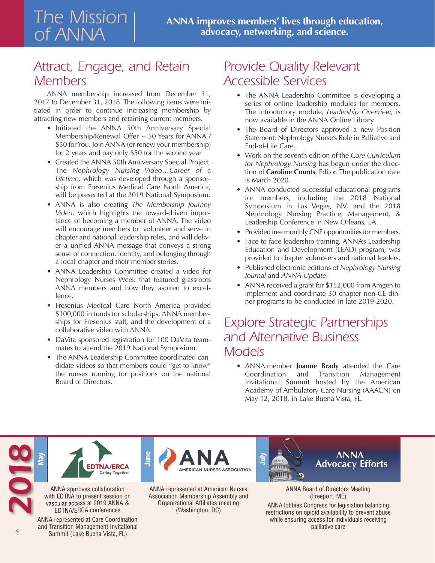## *Attract, Engage, and Retain Members*

ANNA membership increased from December 31, 2017 to December 31, 2018. The following items were initiated in order to continue increasing membership by attracting new members and retaining current members.

- Initiated the ANNA 50th Anniversary Special Membership/Renewal Offer ~ 50 Years for ANNA / \$50 for You. Join ANNA (or renew your membership) for 2 years and pay only \$50 for the second year
- Created the ANNA 50th Anniversary Special Project. The *Nephrology Nursing Video…Career of a Lifetime,* which was developed through a sponsorship from Fresenius Medical Care North America, will be presented at the 2019 National Symposium.
- ANNA is also creating *The Membership Journey Video*, which highlights the reward-driven importance of becoming a member of ANNA. The video will encourage members to volunteer and serve in chapter and national leadership roles, and will deliver a unified ANNA message that conveys a strong sense of connection, identity, and belonging through a local chapter and their member stories.
- ANNA Leadership Committee created a video for Nephrology Nurses Week that featured grassroots ANNA members and how they aspired to excellence.
- Fresenius Medical Care North America provided \$100,000 in funds for scholarships, ANNA memberships for Fresenius staff, and the development of a collaborative video with ANNA.
- DaVita sponsored registration for 100 DaVita teammates to attend the 2019 National Symposium.
- The ANNA Leadership Committee coordinated candidate videos so that members could "get to know" the nurses running for positions on the national Board of Directors.

**June**

## *Provide Quality Relevant Accessible Services*

- The ANNA Leadership Committee is developing a series of online leadership modules for members. The introductory module, *Leadership Overview*, is now available in the ANNA Online Library.
- The Board of Directors approved a new Position Statement: Nephrology Nurse's Role in Palliative and End-of-Life Care.
- Work on the seventh edition of the *Core Curriculum for Nephrology Nursing* has begun under the direction of **Caroline Counts**, Editor. The publication date is March 2020.
- ANNA conducted successful educational programs for members, including the 2018 National Symposium in Las Vegas, NV, and the 2018 Nephrology Nursing Practice, Management, & Leadership Conference in New Orleans, LA.
- Provided free monthly CNE opportunities for members.
- Face-to-face leadership training, ANNA's Leadership Education and Development (LEAD) program, was provided to chapter volunteers and national leaders.
- Published electronic editions of *Nephrology Nursing Journal* and *ANNA Update*.
- ANNA received a grant for \$152,000 from Amgen to implement and coordinate 30 chapter non-CE dinner programs to be conducted in late 2019-2020.

## *Explore Strategic Partnerships and Alternative Business Models*

• ANNA member **Joanne Brady** attended the Care Coordination and Transition Management Invitational Summit hosted by the American Academy of Ambulatory Care Nursing (AAACN) on May 12, 2018, in Lake Buena Vista, FL.



**May** 

*2018*

*4*

ANNA approves collaboration with EDTNA to present session on vascular access at 2019 ANNA & EDTNA/ERCA conferences

ANNA represented at Care Coordination and Transition Management Invitational Summit (Lake Buena Vista, FL)

ANNA represented at American Nurses Association Membership Assembly and Organizational Affiliates meeting (Washington, DC)

AMERICAN NURSES ASSOCIATION



ANNA Board of Directors Meeting (Freeport, ME)

ANNA lobbies Congress for legislation balancing restrictions on opioid availability to prevent abuse while ensuring access for individuals receiving palliative care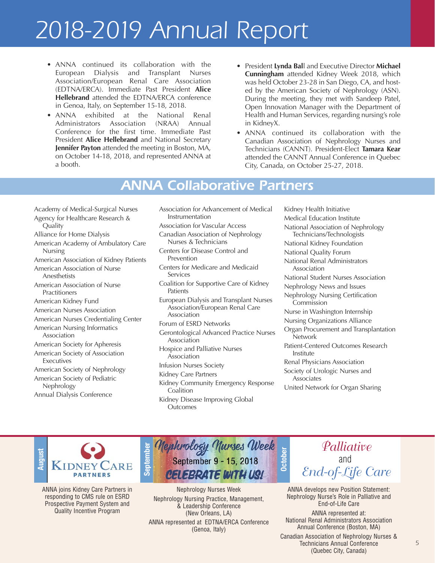- ANNA continued its collaboration with the European Dialysis and Transplant Nurses Association/European Renal Care Association (EDTNA/ERCA). Immediate Past President **Alice Hellebrand** attended the EDTNA/ERCA conference in Genoa, Italy, on September 15-18, 2018.
- ANNA exhibited at the National Renal Administrators Association (NRAA) Annual Conference for the first time. Immediate Past President **Alice Hellebrand** and National Secretary **Jennifer Payton** attended the meeting in Boston, MA, on October 14-18, 2018, and represented ANNA at a booth.
- President **Lynda Bal**l and Executive Director **Michael Cunningham** attended Kidney Week 2018, which was held October 23-28 in San Diego, CA, and hosted by the American Society of Nephrology (ASN). During the meeting, they met with Sandeep Patel, Open Innovation Manager with the Department of Health and Human Services, regarding nursing's role in KidneyX.
- ANNA continued its collaboration with the Canadian Association of Nephrology Nurses and Technicians (CANNT). President-Elect **Tamara Kear** attended the CANNT Annual Conference in Quebec City, Canada, on October 25-27, 2018.

## *ANNA Collaborative Partners*

- Academy of Medical-Surgical Nurses Agency for Healthcare Research & Quality
- Alliance for Home Dialysis
- American Academy of Ambulatory Care Nursing
- American Association of Kidney Patients
- American Association of Nurse Anesthetists
- American Association of Nurse Practitioners
- American Kidney Fund
- American Nurses Association
- American Nurses Credentialing Center
- American Nursing Informatics Association
- American Society for Apheresis American Society of Association
- Executives
- American Society of Nephrology
- American Society of Pediatric Nephrology Annual Dialysis Conference
- Association for Advancement of Medical Instrumentation Association for Vascular Access
- Canadian Association of Nephrology Nurses & Technicians
- Centers for Disease Control and Prevention
- Centers for Medicare and Medicaid Services
- Coalition for Supportive Care of Kidney Patients
- European Dialysis and Transplant Nurses Association/European Renal Care Association
- Forum of ESRD Networks
- Gerontological Advanced Practice Nurses Association
- Hospice and Palliative Nurses Association
- Infusion Nurses Society
- Kidney Care Partners
- Kidney Community Emergency Response **Coalition**
- Kidney Disease Improving Global **Outcomes**

Kidney Health Initiative Medical Education Institute National Association of Nephrology Technicians/Technologists National Kidney Foundation National Quality Forum National Renal Administrators Association National Student Nurses Association Nephrology News and Issues Nephrology Nursing Certification **Commission** Nurse in Washington Internship Nursing Organizations Alliance Organ Procurement and Transplantation **Network** Patient-Centered Outcomes Research Institute Renal Physicians Association Society of Urologic Nurses and Associates United Network for Organ Sharing



ANNA joins Kidney Care Partners in responding to CMS rule on ESRD Prospective Payment System and Quality Incentive Program



Nephrology Nurses Week Nephrology Nursing Practice, Management, & Leadership Conference (New Orleans, LA) ANNA represented at EDTNA/ERCA Conference (Genoa, Italy)

*Palliative* and *End-of-Life Care*

ANNA develops new Position Statement: Nephrology Nurse's Role in Palliative and End-of-Life Care

ANNA represented at: National Renal Administrators Association Annual Conference (Boston, MA)

Canadian Association of Nephrology Nurses & Technicians Annual Conference (Quebec City, Canada)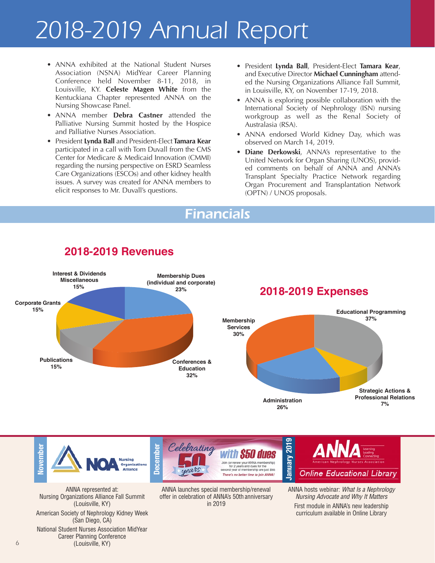- ANNA exhibited at the National Student Nurses Association (NSNA) MidYear Career Planning Conference held November 8-11, 2018, in Louisville, KY. **Celeste Magen White** from the Kentuckiana Chapter represented ANNA on the Nursing Showcase Panel.
- ANNA member **Debra Castner** attended the Palliative Nursing Summit hosted by the Hospice and Palliative Nurses Association.
- President **Lynda Ball** and President-Elect **Tamara Kear**  participated in a call with Tom Duvall from the CMS Center for Medicare & Medicaid Innovation (CMMI) regarding the nursing perspective on ESRD Seamless Care Organizations (ESCOs) and other kidney health issues. A survey was created for ANNA members to elicit responses to Mr. Duvall's questions.
- President **Lynda Ball**, President-Elect **Tamara Kear**, and Executive Director **Michael Cunningham** attended the Nursing Organizations Alliance Fall Summit, in Louisville, KY, on November 17-19, 2018.
- ANNA is exploring possible collaboration with the International Society of Nephrology (ISN) nursing workgroup as well as the Renal Society of Australasia (RSA).
- ANNA endorsed World Kidney Day, which was observed on March 14, 2019.
- **Diane Derkowski**, ANNA's representative to the United Network for Organ Sharing (UNOS), provided comments on behalf of ANNA and ANNA's Transplant Specialty Practice Network regarding Organ Procurement and Transplantation Network (OPTN) / UNOS proposals.

### *Financials*



#### **2018-2019 Revenues**



ANNA launches special membership/renewal offer in celebration of ANNA's 50th anniversary in 2019

ANNA hosts webinar: What Is a Nephrology Nursing Advocate and Why It Matters First module in ANNA's new leadership curriculum available in Online Library

(Louisville, KY) American Society of Nephrology Kidney Week (San Diego, CA) National Student Nurses Association MidYear Career Planning Conference (Louisville, KY)

Nursing Organizations Alliance Fall Summit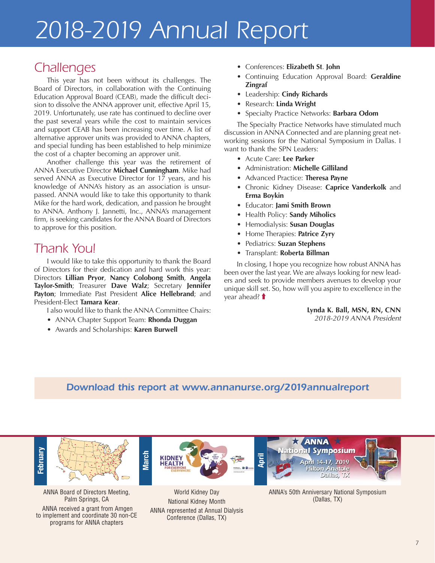### *Challenges*

This year has not been without its challenges. The Board of Directors, in collaboration with the Continuing Education Approval Board (CEAB), made the difficult decision to dissolve the ANNA approver unit, effective April 15, 2019. Unfortunately, use rate has continued to decline over the past several years while the cost to maintain services and support CEAB has been increasing over time. A list of alternative approver units was provided to ANNA chapters, and special funding has been established to help minimize the cost of a chapter becoming an approver unit.

Another challenge this year was the retirement of ANNA Executive Director **Michael Cunningham**. Mike had served ANNA as Executive Director for 17 years, and his knowledge of ANNA's history as an association is unsurpassed. ANNA would like to take this opportunity to thank Mike for the hard work, dedication, and passion he brought to ANNA. Anthony J. Jannetti, Inc., ANNA's management firm, is seeking candidates for the ANNA Board of Directors to approve for this position.

### *Thank You!*

I would like to take this opportunity to thank the Board of Directors for their dedication and hard work this year: Directors **Lillian Pryor**, **Nancy Colobong Smith**, **Angela Taylor-Smith**; Treasurer **Dave Walz**; Secretary **Jennifer Payton**; Immediate Past President **Alice Hellebrand**; and President-Elect **Tamara Kear**.

I also would like to thank the ANNA Committee Chairs:

- ANNA Chapter Support Team: **Rhonda Duggan**
- Awards and Scholarships: **Karen Burwell**
- Conferences: **Elizabeth St**. **John**
- Continuing Education Approval Board: **Geraldine Zingraf**
- Leadership: **Cindy Richards**
- Research: **Linda Wright**
- Specialty Practice Networks: **Barbara Odom**

The Specialty Practice Networks have stimulated much discussion in ANNA Connected and are planning great networking sessions for the National Symposium in Dallas. I want to thank the SPN Leaders:

- Acute Care: **Lee Parker**
- Administration: **Michelle Gilliland**
- Advanced Practice: **Theresa Payne**
- Chronic Kidney Disease: **Caprice Vanderkolk** and **Erma Boykin**
- Educator: **Jami Smith Brown**
- Health Policy: **Sandy Miholics**
- Hemodialysis: **Susan Douglas**
- Home Therapies: **Patrice Zyry**
- Pediatrics: **Suzan Stephens**
- Transplant: **Roberta Billman**

In closing, I hope you recognize how robust ANNA has been over the last year. We are always looking for new leaders and seek to provide members avenues to develop your unique skill set. So, how will you aspire to excellence in the year ahead? **t** 

> **Lynda K. Ball, MSN, RN, CNN**  2018-2019 ANNA President

#### *Download this report at [www.annanurse.org/2019annualreport](http://www.annanurse.org/2019annualreport)*



ANNA Board of Directors Meeting, Palm Springs, CA ANNA received a grant from Amgen to implement and coordinate 30 non-CE programs for ANNA chapters



World Kidney Day National Kidney Month ANNA represented at Annual Dialysis Conference (Dallas, TX)



ANNA's 50th Anniversary National Symposium (Dallas, TX)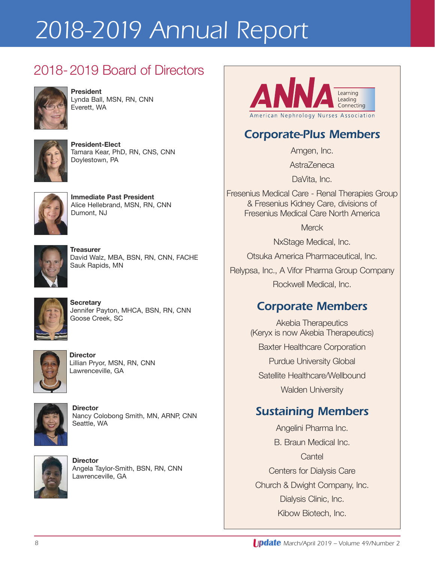## 2018-2019 Board of Directors



**President**  Lynda Ball, MSN, RN, CNN Everett, WA



**President-Elect** Tamara Kear, PhD, RN, CNS, CNN Doylestown, PA



**Immediate Past President** Alice Hellebrand, MSN, RN, CNN Dumont, NJ



**Treasurer** David Walz, MBA, BSN, RN, CNN, FACHE Sauk Rapids, MN



**Secretary** Jennifer Payton, MHCA, BSN, RN, CNN Goose Creek, SC



**Director** Lillian Pryor, MSN, RN, CNN Lawrenceville, GA



**Director** Nancy Colobong Smith, MN, ARNP, CNN Seattle, WA



**Director** Angela Taylor-Smith, BSN, RN, CNN Lawrenceville, GA



### *Corporate-Plus Members*

Amgen, Inc.

**AstraZeneca** 

DaVita, Inc.

Fresenius Medical Care - Renal Therapies Group & Fresenius Kidney Care, divisions of Fresenius Medical Care North America

**Merck** 

NxStage Medical, Inc.

Otsuka America Pharmaceutical, Inc.

Relypsa, Inc., A Vifor Pharma Group Company Rockwell Medical, Inc.

### *Corporate Members*

Akebia Therapeutics (Keryx is now Akebia Therapeutics) Baxter Healthcare Corporation Purdue University Global Satellite Healthcare/Wellbound Walden University

## *Sustaining Members*

Angelini Pharma Inc. B. Braun Medical Inc. **Cantel** Centers for Dialysis Care Church & Dwight Company, Inc. Dialysis Clinic, Inc. Kibow Biotech, Inc.